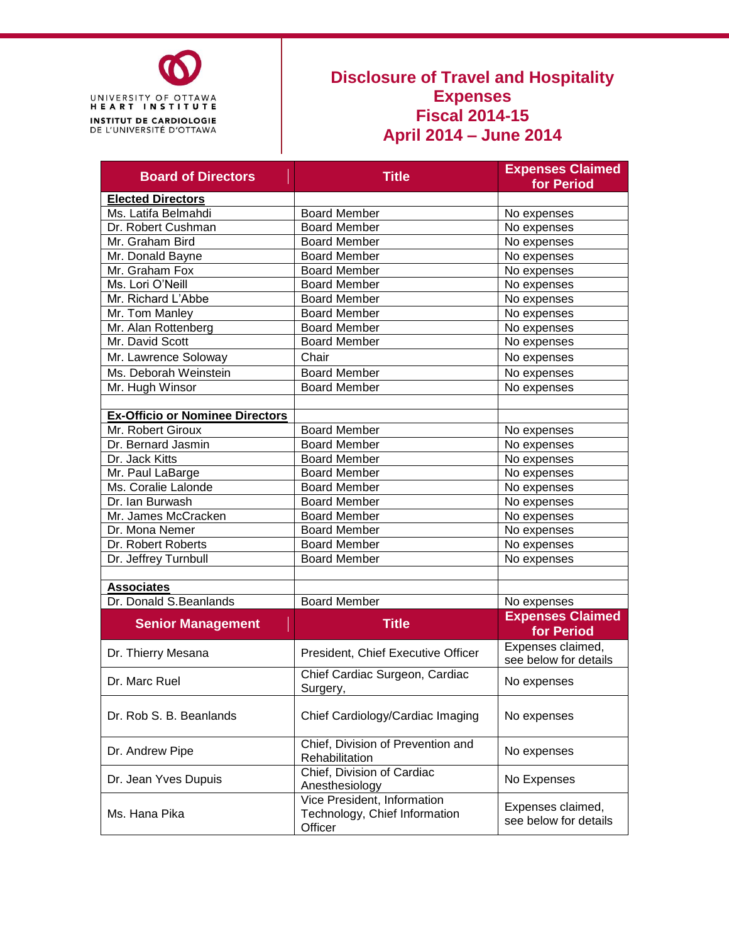

#### **Disclosure of Travel and Hospitality Expenses Fiscal 2014-15 April 2014 – June 2014**

| <b>Board of Directors</b>              | <b>Title</b>                                                            | <b>Expenses Claimed</b>                    |  |  |
|----------------------------------------|-------------------------------------------------------------------------|--------------------------------------------|--|--|
|                                        |                                                                         | for Period                                 |  |  |
| <b>Elected Directors</b>               |                                                                         |                                            |  |  |
| Ms. Latifa Belmahdi                    | <b>Board Member</b>                                                     | No expenses                                |  |  |
| Dr. Robert Cushman                     | <b>Board Member</b>                                                     | No expenses                                |  |  |
| Mr. Graham Bird                        | <b>Board Member</b>                                                     | No expenses                                |  |  |
| Mr. Donald Bayne                       | <b>Board Member</b>                                                     | No expenses                                |  |  |
| Mr. Graham Fox                         | <b>Board Member</b>                                                     | No expenses                                |  |  |
| Ms. Lori O'Neill                       | <b>Board Member</b>                                                     | No expenses                                |  |  |
| Mr. Richard L'Abbe                     | <b>Board Member</b>                                                     | No expenses                                |  |  |
| Mr. Tom Manley                         | <b>Board Member</b>                                                     | No expenses                                |  |  |
| Mr. Alan Rottenberg                    | <b>Board Member</b>                                                     | No expenses                                |  |  |
| Mr. David Scott                        | <b>Board Member</b>                                                     | No expenses                                |  |  |
| Mr. Lawrence Soloway                   | Chair                                                                   | No expenses                                |  |  |
| Ms. Deborah Weinstein                  | <b>Board Member</b>                                                     | No expenses                                |  |  |
| Mr. Hugh Winsor                        | <b>Board Member</b>                                                     | No expenses                                |  |  |
|                                        |                                                                         |                                            |  |  |
| <b>Ex-Officio or Nominee Directors</b> |                                                                         |                                            |  |  |
| Mr. Robert Giroux                      | <b>Board Member</b>                                                     | No expenses                                |  |  |
| Dr. Bernard Jasmin                     | <b>Board Member</b>                                                     | No expenses                                |  |  |
| Dr. Jack Kitts                         | <b>Board Member</b>                                                     | No expenses                                |  |  |
| Mr. Paul LaBarge                       | <b>Board Member</b>                                                     | No expenses                                |  |  |
| Ms. Coralie Lalonde                    | <b>Board Member</b>                                                     | No expenses                                |  |  |
| Dr. Ian Burwash                        | <b>Board Member</b>                                                     | No expenses                                |  |  |
| Mr. James McCracken                    | <b>Board Member</b>                                                     | No expenses                                |  |  |
| Dr. Mona Nemer                         | <b>Board Member</b>                                                     | No expenses                                |  |  |
| Dr. Robert Roberts                     | <b>Board Member</b>                                                     | No expenses                                |  |  |
| Dr. Jeffrey Turnbull                   | <b>Board Member</b>                                                     | No expenses                                |  |  |
|                                        |                                                                         |                                            |  |  |
| <b>Associates</b>                      |                                                                         |                                            |  |  |
| Dr. Donald S. Beanlands                | <b>Board Member</b>                                                     | No expenses                                |  |  |
| <b>Senior Management</b>               | <b>Title</b>                                                            | <b>Expenses Claimed</b>                    |  |  |
|                                        |                                                                         | for Period                                 |  |  |
| Dr. Thierry Mesana                     | President, Chief Executive Officer                                      | Expenses claimed,<br>see below for details |  |  |
| Dr. Marc Ruel                          | Chief Cardiac Surgeon, Cardiac<br>Surgery,                              | No expenses                                |  |  |
| Dr. Rob S. B. Beanlands                | Chief Cardiology/Cardiac Imaging                                        | No expenses                                |  |  |
| Dr. Andrew Pipe                        | Chief, Division of Prevention and<br>No expenses<br>Rehabilitation      |                                            |  |  |
| Dr. Jean Yves Dupuis                   | Chief, Division of Cardiac<br>Anesthesiology                            | No Expenses                                |  |  |
| Ms. Hana Pika                          | Vice President, Information<br>Technology, Chief Information<br>Officer | Expenses claimed,<br>see below for details |  |  |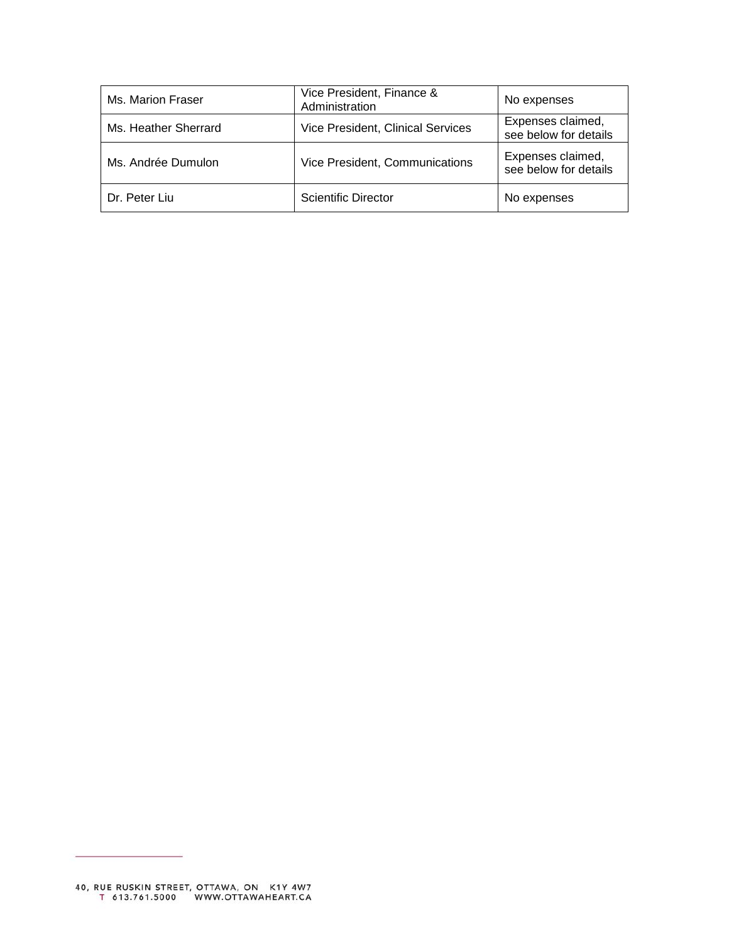| Ms. Marion Fraser    | Vice President, Finance &<br>Administration | No expenses                                |
|----------------------|---------------------------------------------|--------------------------------------------|
| Ms. Heather Sherrard | <b>Vice President, Clinical Services</b>    | Expenses claimed,<br>see below for details |
| Ms. Andrée Dumulon   | Vice President, Communications              | Expenses claimed,<br>see below for details |
| Dr. Peter Liu        | <b>Scientific Director</b>                  | No expenses                                |

 $\sim$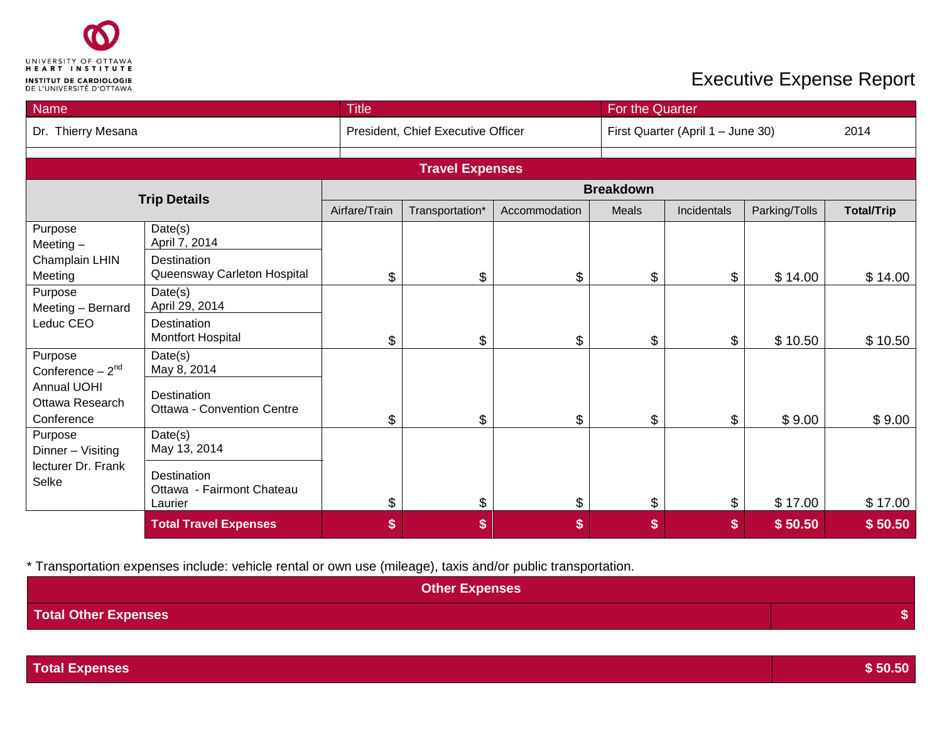

| Name                                         |                                                     | <b>Title</b>   |                                    |               | For the Quarter  |                                   |               |                   |
|----------------------------------------------|-----------------------------------------------------|----------------|------------------------------------|---------------|------------------|-----------------------------------|---------------|-------------------|
| Dr. Thierry Mesana                           |                                                     |                | President, Chief Executive Officer |               |                  | First Quarter (April 1 - June 30) |               |                   |
|                                              |                                                     |                |                                    |               |                  |                                   |               |                   |
|                                              |                                                     |                | <b>Travel Expenses</b>             |               |                  |                                   |               |                   |
|                                              | <b>Trip Details</b>                                 |                |                                    |               | <b>Breakdown</b> |                                   |               |                   |
|                                              |                                                     | Airfare/Train  | Transportation*                    | Accommodation | Meals            | Incidentals                       | Parking/Tolls | <b>Total/Trip</b> |
| Purpose<br>Meeting $-$                       | Date(s)<br>April 7, 2014                            |                |                                    |               |                  |                                   |               |                   |
| Champlain LHIN<br>Meeting                    | Destination<br>Queensway Carleton Hospital          | \$             | \$                                 | \$            | \$               | \$                                | \$14.00       | \$14.00           |
| Purpose<br>Meeting - Bernard                 | Date(s)<br>April 29, 2014                           |                |                                    |               |                  |                                   |               |                   |
| Leduc CEO                                    | Destination<br><b>Montfort Hospital</b>             | \$             | \$                                 | \$            | \$               | $\$\$                             | \$10.50       | \$10.50           |
| Purpose<br>Conference $-2nd$                 | Date(s)<br>May 8, 2014                              |                |                                    |               |                  |                                   |               |                   |
| Annual UOHI<br>Ottawa Research<br>Conference | Destination<br>Ottawa - Convention Centre           | $\mathfrak{L}$ | \$                                 | \$            | \$               | \$                                | \$9.00        | \$9.00            |
| Purpose<br>Dinner - Visiting                 | Date(s)<br>May 13, 2014                             |                |                                    |               |                  |                                   |               |                   |
| lecturer Dr. Frank<br>Selke                  | Destination<br>Ottawa - Fairmont Chateau<br>Laurier | \$             | \$                                 | \$            | \$               | \$                                | \$17.00       | \$17.00           |
|                                              | <b>Total Travel Expenses</b>                        | \$             | \$                                 | \$            | \$               | \$                                | \$50.50       | \$50.50           |

| Other Expenses              |  |
|-----------------------------|--|
| <b>Total Other Expenses</b> |  |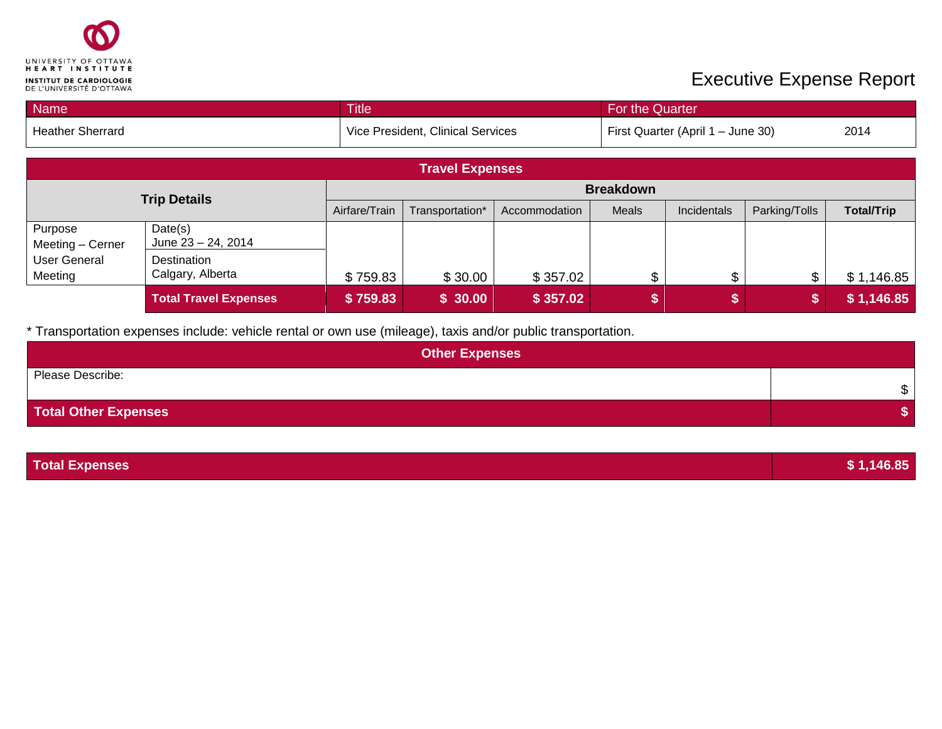

| <b>Name</b>                    |                                   | <b>Title</b><br>For the Quarter |                 |                                   |       |             |               |                   |
|--------------------------------|-----------------------------------|---------------------------------|-----------------|-----------------------------------|-------|-------------|---------------|-------------------|
| <b>Heather Sherrard</b>        | Vice President, Clinical Services |                                 |                 | First Quarter (April 1 - June 30) |       |             |               |                   |
|                                | <b>Travel Expenses</b>            |                                 |                 |                                   |       |             |               |                   |
| <b>Trip Details</b>            |                                   | <b>Breakdown</b>                |                 |                                   |       |             |               |                   |
|                                |                                   | Airfare/Train                   | Transportation* | Accommodation                     | Meals | Incidentals | Parking/Tolls | <b>Total/Trip</b> |
| Purpose<br>Meeting - Cerner    | Date(s)<br>June 23 - 24, 2014     |                                 |                 |                                   |       |             |               |                   |
| <b>User General</b><br>Meeting | Destination<br>Calgary, Alberta   | \$759.83                        | \$30.00         | \$357.02                          | \$    | \$          | $\frac{1}{2}$ | \$1,146.85        |
|                                | <b>Total Travel Expenses</b>      | \$759.83                        | \$30.00         | \$357.02                          |       | S           | \$            | \$1,146.85        |

| <b>Other Expenses</b> |        |  |  |  |  |
|-----------------------|--------|--|--|--|--|
| Please Describe:      | ሖ<br>Œ |  |  |  |  |
| Total Other Expenses  |        |  |  |  |  |

| <b>Total Expenses</b> | \$1,146.85 |
|-----------------------|------------|
|-----------------------|------------|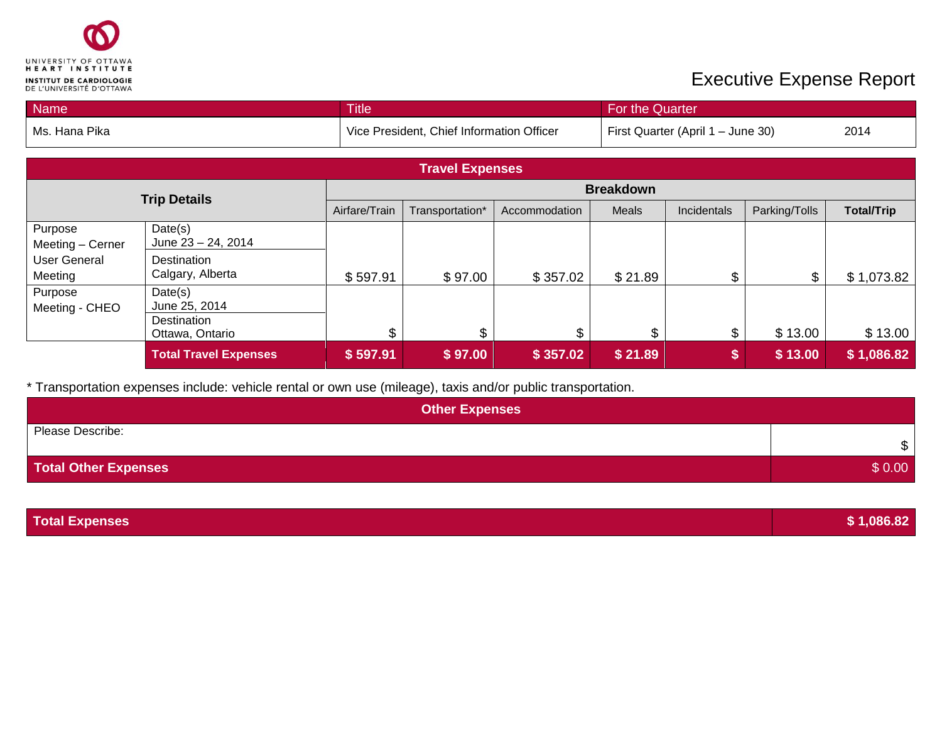

| Name                           |                                 | <b>Title</b>                                                                   |                 |               | For the Quarter  |             |                |                   |
|--------------------------------|---------------------------------|--------------------------------------------------------------------------------|-----------------|---------------|------------------|-------------|----------------|-------------------|
| Ms. Hana Pika                  |                                 | Vice President, Chief Information Officer<br>First Quarter (April 1 - June 30) |                 |               | 2014             |             |                |                   |
|                                | <b>Travel Expenses</b>          |                                                                                |                 |               |                  |             |                |                   |
|                                | <b>Trip Details</b>             |                                                                                |                 |               | <b>Breakdown</b> |             |                |                   |
|                                |                                 | Airfare/Train                                                                  | Transportation* | Accommodation | Meals            | Incidentals | Parking/Tolls  | <b>Total/Trip</b> |
| Purpose<br>Meeting - Cerner    | Date(s)<br>June 23 - 24, 2014   |                                                                                |                 |               |                  |             |                |                   |
| <b>User General</b><br>Meeting | Destination<br>Calgary, Alberta | \$597.91                                                                       | \$97.00         | \$357.02      | \$21.89          | \$          | $\mathfrak{S}$ | \$1,073.82        |
| Purpose<br>Meeting - CHEO      | Date(s)<br>June 25, 2014        |                                                                                |                 |               |                  |             |                |                   |
|                                | Destination<br>Ottawa, Ontario  | \$                                                                             | \$              | \$            | \$               | \$          | \$13.00        | \$13.00           |
|                                | <b>Total Travel Expenses</b>    | \$597.91                                                                       | \$97.00         | \$357.02      | \$21.89          | \$          | \$13.00        | \$1,086.82        |

| <b>Other Expenses</b>       |              |
|-----------------------------|--------------|
| Please Describe:            | $\mathbb{S}$ |
| <b>Total Other Expenses</b> | \$0.00       |

| <b>Total Expenses</b> | \$1,086.82 |
|-----------------------|------------|
|                       |            |